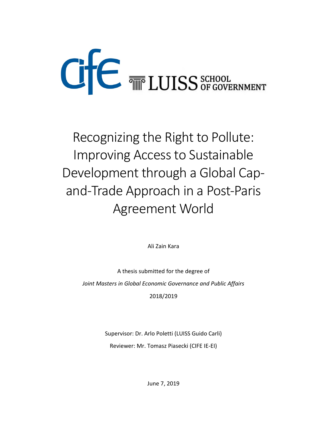# **CE THE LUISS** SCHOOL

Recognizing the Right to Pollute: Improving Access to Sustainable Development through a Global Capand-Trade Approach in a Post-Paris Agreement World

Ali Zain Kara

A thesis submitted for the degree of *Joint Masters in Global Economic Governance and Public Affairs* 2018/2019

> Supervisor: Dr. Arlo Poletti (LUISS Guido Carli) Reviewer: Mr. Tomasz Piasecki (CIFE IE-EI)

> > June 7, 2019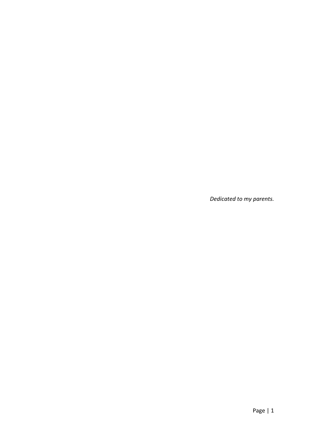*Dedicated to my parents.*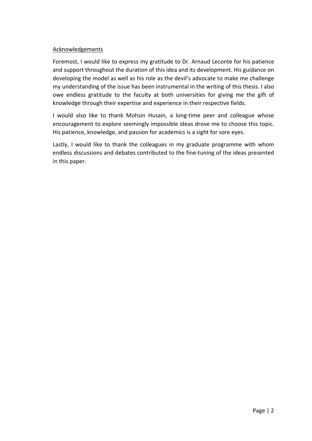## Acknowledgements

Foremost, I would like to express my gratitude to Dr. Arnaud Leconte for his patience and support throughout the duration of this idea and its development. His guidance on developing the model as well as his role as the devil's advocate to make me challenge my understanding of the issue has been instrumental in the writing of this thesis. I also owe endless gratitude to the faculty at both universities for giving me the gift of knowledge through their expertise and experience in their respective fields.

I would also like to thank Mohsin Husain, a long-time peer and colleague whose encouragement to explore seemingly impossible ideas drove me to choose this topic. His patience, knowledge, and passion for academics is a sight for sore eyes.

Lastly, I would like to thank the colleagues in my graduate programme with whom endless discussions and debates contributed to the fine-tuning of the ideas presented in this paper.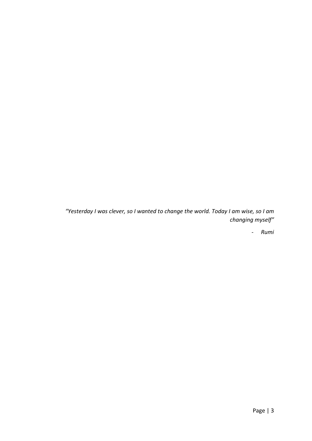*"Yesterday I was clever, so I wanted to change the world. Today I am wise, so I am changing myself"*

- *Rumi*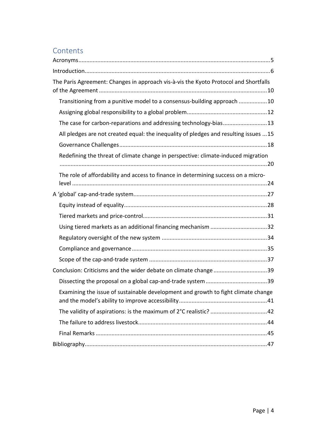# **Contents**

| The Paris Agreement: Changes in approach vis-à-vis the Kyoto Protocol and Shortfalls |
|--------------------------------------------------------------------------------------|
| Transitioning from a punitive model to a consensus-building approach 10              |
|                                                                                      |
| The case for carbon-reparations and addressing technology-bias13                     |
| All pledges are not created equal: the inequality of pledges and resulting issues 15 |
|                                                                                      |
| Redefining the threat of climate change in perspective: climate-induced migration    |
| The role of affordability and access to finance in determining success on a micro-   |
|                                                                                      |
|                                                                                      |
|                                                                                      |
|                                                                                      |
|                                                                                      |
|                                                                                      |
|                                                                                      |
| Conclusion: Criticisms and the wider debate on climate change 39                     |
|                                                                                      |
| Examining the issue of sustainable development and growth to fight climate change    |
|                                                                                      |
|                                                                                      |
|                                                                                      |
|                                                                                      |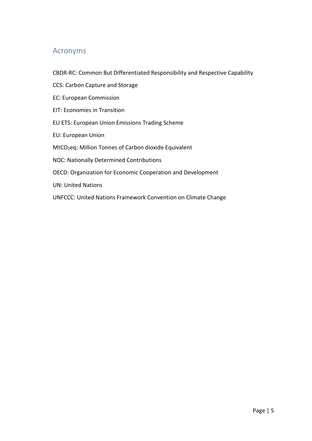## <span id="page-5-0"></span>Acronyms

- CBDR-RC: Common But Differentiated Responsibility and Respective Capability
- CCS: Carbon Capture and Storage
- EC: European Commission
- EIT: Economies in Transition
- EU ETS: European Union Emissions Trading Scheme
- EU: European Union
- MtCO2eq: Million Tonnes of Carbon dioxide Equivalent
- NDC: Nationally Determined Contributions
- OECD: Organization for Economic Cooperation and Development
- UN: United Nations
- UNFCCC: United Nations Framework Convention on Climate Change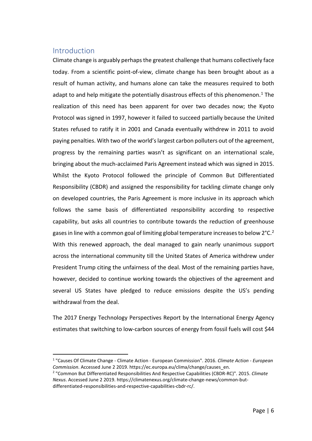## <span id="page-6-0"></span>**Introduction**

Climate change is arguably perhaps the greatest challenge that humans collectively face today. From a scientific point-of-view, climate change has been brought about as a result of human activity, and humans alone can take the measures required to both adapt to and help mitigate the potentially disastrous effects of this phenomenon.<sup>[1](#page-6-1)</sup> The realization of this need has been apparent for over two decades now; the Kyoto Protocol was signed in 1997, however it failed to succeed partially because the United States refused to ratify it in 2001 and Canada eventually withdrew in 2011 to avoid paying penalties. With two of the world's largest carbon polluters out of the agreement, progress by the remaining parties wasn't as significant on an international scale, bringing about the much-acclaimed Paris Agreement instead which was signed in 2015. Whilst the Kyoto Protocol followed the principle of Common But Differentiated Responsibility (CBDR) and assigned the responsibility for tackling climate change only on developed countries, the Paris Agreement is more inclusive in its approach which follows the same basis of differentiated responsibility according to respective capability, but asks all countries to contribute towards the reduction of greenhouse gases in line with a common goal of limiting global temperature increases to below 2°C.<sup>2</sup> With this renewed approach, the deal managed to gain nearly unanimous support across the international community till the United States of America withdrew under President Trump citing the unfairness of the deal. Most of the remaining parties have, however, decided to continue working towards the objectives of the agreement and several US States have pledged to reduce emissions despite the US's pending withdrawal from the deal.

The 2017 Energy Technology Perspectives Report by the International Energy Agency estimates that switching to low-carbon sources of energy from fossil fuels will cost \$44

<span id="page-6-1"></span> <sup>1</sup> "Causes Of Climate Change - Climate Action - European Commission". 2016. *Climate Action - European Commission*. Accessed June 2 2019. https://ec.europa.eu/clima/change/causes\_en.

<span id="page-6-2"></span><sup>2</sup> "Common But Differentiated Responsibilities And Respective Capabilities (CBDR-RC)". 2015. *Climate Nexus*. Accessed June 2 2019. https://climatenexus.org/climate-change-news/common-butdifferentiated-responsibilities-and-respective-capabilities-cbdr-rc/.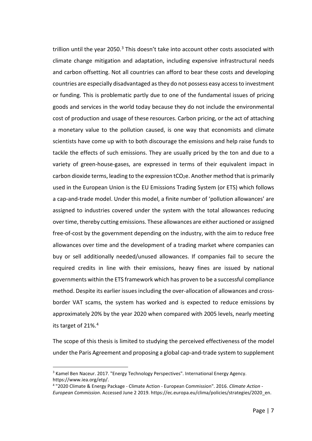trillion until the year 2050.<sup>[3](#page-7-0)</sup> This doesn't take into account other costs associated with climate change mitigation and adaptation, including expensive infrastructural needs and carbon offsetting. Not all countries can afford to bear these costs and developing countries are especially disadvantaged as they do not possess easy access to investment or funding. This is problematic partly due to one of the fundamental issues of pricing goods and services in the world today because they do not include the environmental cost of production and usage of these resources. Carbon pricing, or the act of attaching a monetary value to the pollution caused, is one way that economists and climate scientists have come up with to both discourage the emissions and help raise funds to tackle the effects of such emissions. They are usually priced by the ton and due to a variety of green-house-gases, are expressed in terms of their equivalent impact in carbon dioxide terms, leading to the expression  $tCO<sub>2</sub>e$ . Another method that is primarily used in the European Union is the EU Emissions Trading System (or ETS) which follows a cap-and-trade model. Under this model, a finite number of 'pollution allowances' are assigned to industries covered under the system with the total allowances reducing over time, thereby cutting emissions. These allowances are either auctioned or assigned free-of-cost by the government depending on the industry, with the aim to reduce free allowances over time and the development of a trading market where companies can buy or sell additionally needed/unused allowances. If companies fail to secure the required credits in line with their emissions, heavy fines are issued by national governments within the ETS framework which has proven to be a successful compliance method. Despite its earlier issues including the over-allocation of allowances and crossborder VAT scams, the system has worked and is expected to reduce emissions by approximately 20% by the year 2020 when compared with 2005 levels, nearly meeting its target of 21%.[4](#page-7-1)

The scope of this thesis is limited to studying the perceived effectiveness of the model under the Paris Agreement and proposing a global cap-and-trade system to supplement

<span id="page-7-0"></span> <sup>3</sup> Kamel Ben Naceur. 2017. "Energy Technology Perspectives". International Energy Agency. https://www.iea.org/etp/.

<span id="page-7-1"></span><sup>4</sup> "2020 Climate & Energy Package - Climate Action - European Commission". 2016. *Climate Action - European Commission*. Accessed June 2 2019. https://ec.europa.eu/clima/policies/strategies/2020\_en.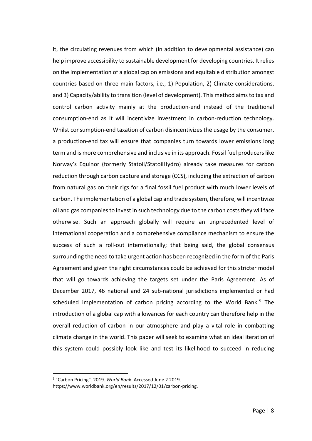it, the circulating revenues from which (in addition to developmental assistance) can help improve accessibility to sustainable development for developing countries. It relies on the implementation of a global cap on emissions and equitable distribution amongst countries based on three main factors, i.e., 1) Population, 2) Climate considerations, and 3) Capacity/ability to transition (level of development). This method aims to tax and control carbon activity mainly at the production-end instead of the traditional consumption-end as it will incentivize investment in carbon-reduction technology. Whilst consumption-end taxation of carbon disincentivizes the usage by the consumer, a production-end tax will ensure that companies turn towards lower emissions long term and is more comprehensive and inclusive in its approach. Fossil fuel producers like Norway's Equinor (formerly Statoil/StatoilHydro) already take measures for carbon reduction through carbon capture and storage (CCS), including the extraction of carbon from natural gas on their rigs for a final fossil fuel product with much lower levels of carbon. The implementation of a global cap and trade system, therefore, will incentivize oil and gas companies to invest in such technology due to the carbon costs they will face otherwise. Such an approach globally will require an unprecedented level of international cooperation and a comprehensive compliance mechanism to ensure the success of such a roll-out internationally; that being said, the global consensus surrounding the need to take urgent action has been recognized in the form of the Paris Agreement and given the right circumstances could be achieved for this stricter model that will go towards achieving the targets set under the Paris Agreement. As of December 2017, 46 national and 24 sub-national jurisdictions implemented or had scheduled implementation of carbon pricing according to the World Bank.<sup>[5](#page-8-0)</sup> The introduction of a global cap with allowances for each country can therefore help in the overall reduction of carbon in our atmosphere and play a vital role in combatting climate change in the world. This paper will seek to examine what an ideal iteration of this system could possibly look like and test its likelihood to succeed in reducing

<span id="page-8-0"></span> <sup>5</sup> "Carbon Pricing". 2019. *World Bank*. Accessed June 2 2019.

https://www.worldbank.org/en/results/2017/12/01/carbon-pricing.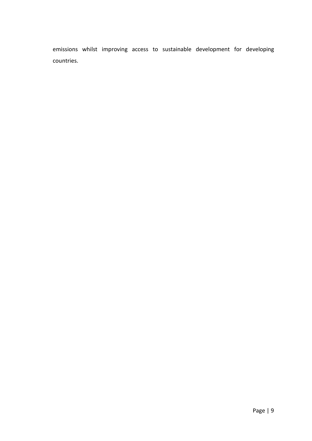emissions whilst improving access to sustainable development for developing countries.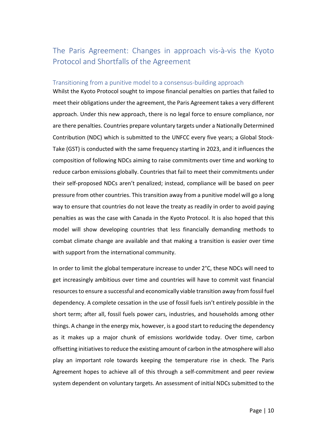# <span id="page-10-0"></span>The Paris Agreement: Changes in approach vis-à-vis the Kyoto Protocol and Shortfalls of the Agreement

## <span id="page-10-1"></span>Transitioning from a punitive model to a consensus-building approach

Whilst the Kyoto Protocol sought to impose financial penalties on parties that failed to meet their obligations under the agreement, the Paris Agreement takes a very different approach. Under this new approach, there is no legal force to ensure compliance, nor are there penalties. Countries prepare voluntary targets under a Nationally Determined Contribution (NDC) which is submitted to the UNFCC every five years; a Global Stock-Take (GST) is conducted with the same frequency starting in 2023, and it influences the composition of following NDCs aiming to raise commitments over time and working to reduce carbon emissions globally. Countries that fail to meet their commitments under their self-proposed NDCs aren't penalized; instead, compliance will be based on peer pressure from other countries. This transition away from a punitive model will go a long way to ensure that countries do not leave the treaty as readily in order to avoid paying penalties as was the case with Canada in the Kyoto Protocol. It is also hoped that this model will show developing countries that less financially demanding methods to combat climate change are available and that making a transition is easier over time with support from the international community.

In order to limit the global temperature increase to under 2°C, these NDCs will need to get increasingly ambitious over time and countries will have to commit vast financial resources to ensure a successful and economically viable transition away from fossil fuel dependency. A complete cessation in the use of fossil fuels isn't entirely possible in the short term; after all, fossil fuels power cars, industries, and households among other things. A change in the energy mix, however, is a good start to reducing the dependency as it makes up a major chunk of emissions worldwide today. Over time, carbon offsetting initiatives to reduce the existing amount of carbon in the atmosphere will also play an important role towards keeping the temperature rise in check. The Paris Agreement hopes to achieve all of this through a self-commitment and peer review system dependent on voluntary targets. An assessment of initial NDCs submitted to the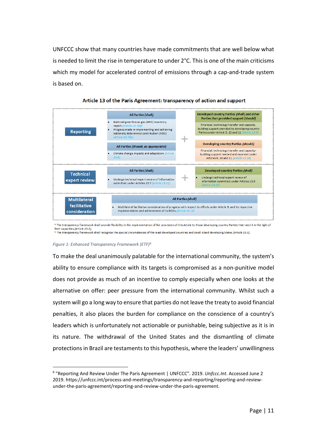UNFCCC show that many countries have made commitments that are well below what is needed to limit the rise in temperature to under  $2^{\circ}$ C. This is one of the main criticisms which my model for accelerated control of emissions through a cap-and-trade system is based on.





#### *Figure 1: Enhanced Transparency Framework (ETF)[6](#page-11-0)*

To make the deal unanimously palatable for the international community, the system's ability to ensure compliance with its targets is compromised as a non-punitive model does not provide as much of an incentive to comply especially when one looks at the alternative on offer: peer pressure from the international community. Whilst such a system will go a long way to ensure that parties do not leave the treaty to avoid financial penalties, it also places the burden for compliance on the conscience of a country's leaders which is unfortunately not actionable or punishable, being subjective as it is in its nature. The withdrawal of the United States and the dismantling of climate protections in Brazil are testaments to this hypothesis, where the leaders' unwillingness

<span id="page-11-0"></span> <sup>6</sup> "Reporting And Review Under The Paris Agreement | UNFCCC". 2019. *Unfccc.Int*. Accessed June 2 2019. https://unfccc.int/process-and-meetings/transparency-and-reporting/reporting-and-reviewunder-the-paris-agreement/reporting-and-review-under-the-paris-agreement.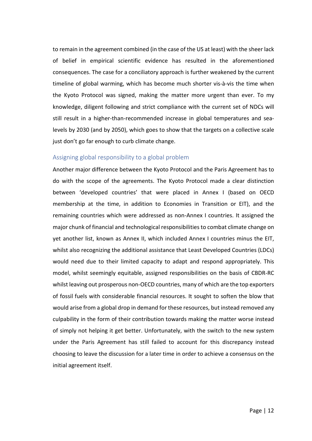to remain in the agreement combined (in the case of the US at least) with the sheer lack of belief in empirical scientific evidence has resulted in the aforementioned consequences. The case for a conciliatory approach is further weakened by the current timeline of global warming, which has become much shorter vis-à-vis the time when the Kyoto Protocol was signed, making the matter more urgent than ever. To my knowledge, diligent following and strict compliance with the current set of NDCs will still result in a higher-than-recommended increase in global temperatures and sealevels by 2030 (and by 2050), which goes to show that the targets on a collective scale just don't go far enough to curb climate change.

## <span id="page-12-0"></span>Assigning global responsibility to a global problem

Another major difference between the Kyoto Protocol and the Paris Agreement has to do with the scope of the agreements. The Kyoto Protocol made a clear distinction between 'developed countries' that were placed in Annex I (based on OECD membership at the time, in addition to Economies in Transition or EIT), and the remaining countries which were addressed as non-Annex I countries. It assigned the major chunk of financial and technological responsibilities to combat climate change on yet another list, known as Annex II, which included Annex I countries minus the EIT, whilst also recognizing the additional assistance that Least Developed Countries (LDCs) would need due to their limited capacity to adapt and respond appropriately. This model, whilst seemingly equitable, assigned responsibilities on the basis of CBDR-RC whilst leaving out prosperous non-OECD countries, many of which are the top exporters of fossil fuels with considerable financial resources. It sought to soften the blow that would arise from a global drop in demand for these resources, but instead removed any culpability in the form of their contribution towards making the matter worse instead of simply not helping it get better. Unfortunately, with the switch to the new system under the Paris Agreement has still failed to account for this discrepancy instead choosing to leave the discussion for a later time in order to achieve a consensus on the initial agreement itself.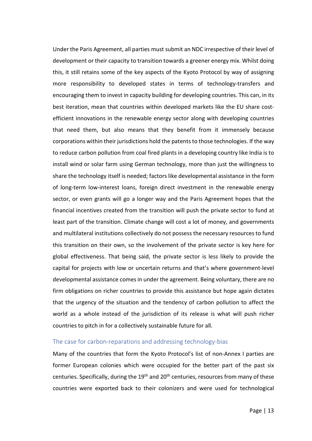Under the Paris Agreement, all parties must submit an NDC irrespective of their level of development or their capacity to transition towards a greener energy mix. Whilst doing this, it still retains some of the key aspects of the Kyoto Protocol by way of assigning more responsibility to developed states in terms of technology-transfers and encouraging them to invest in capacity building for developing countries. This can, in its best iteration, mean that countries within developed markets like the EU share costefficient innovations in the renewable energy sector along with developing countries that need them, but also means that they benefit from it immensely because corporations within their jurisdictions hold the patents to those technologies. If the way to reduce carbon pollution from coal fired plants in a developing country like India is to install wind or solar farm using German technology, more than just the willingness to share the technology itself is needed; factors like developmental assistance in the form of long-term low-interest loans, foreign direct investment in the renewable energy sector, or even grants will go a longer way and the Paris Agreement hopes that the financial incentives created from the transition will push the private sector to fund at least part of the transition. Climate change will cost a lot of money, and governments and multilateral institutions collectively do not possess the necessary resources to fund this transition on their own, so the involvement of the private sector is key here for global effectiveness. That being said, the private sector is less likely to provide the capital for projects with low or uncertain returns and that's where government-level developmental assistance comes in under the agreement. Being voluntary, there are no firm obligations on richer countries to provide this assistance but hope again dictates that the urgency of the situation and the tendency of carbon pollution to affect the world as a whole instead of the jurisdiction of its release is what will push richer countries to pitch in for a collectively sustainable future for all.

## <span id="page-13-0"></span>The case for carbon-reparations and addressing technology-bias

Many of the countries that form the Kyoto Protocol's list of non-Annex I parties are former European colonies which were occupied for the better part of the past six centuries. Specifically, during the 19<sup>th</sup> and 20<sup>th</sup> centuries, resources from many of these countries were exported back to their colonizers and were used for technological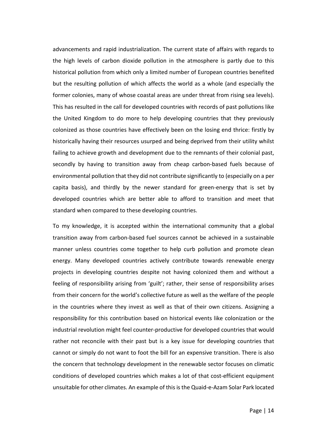advancements and rapid industrialization. The current state of affairs with regards to the high levels of carbon dioxide pollution in the atmosphere is partly due to this historical pollution from which only a limited number of European countries benefited but the resulting pollution of which affects the world as a whole (and especially the former colonies, many of whose coastal areas are under threat from rising sea levels). This has resulted in the call for developed countries with records of past pollutions like the United Kingdom to do more to help developing countries that they previously colonized as those countries have effectively been on the losing end thrice: firstly by historically having their resources usurped and being deprived from their utility whilst failing to achieve growth and development due to the remnants of their colonial past, secondly by having to transition away from cheap carbon-based fuels because of environmental pollution that they did not contribute significantly to (especially on a per capita basis), and thirdly by the newer standard for green-energy that is set by developed countries which are better able to afford to transition and meet that standard when compared to these developing countries.

To my knowledge, it is accepted within the international community that a global transition away from carbon-based fuel sources cannot be achieved in a sustainable manner unless countries come together to help curb pollution and promote clean energy. Many developed countries actively contribute towards renewable energy projects in developing countries despite not having colonized them and without a feeling of responsibility arising from 'guilt'; rather, their sense of responsibility arises from their concern for the world's collective future as well as the welfare of the people in the countries where they invest as well as that of their own citizens. Assigning a responsibility for this contribution based on historical events like colonization or the industrial revolution might feel counter-productive for developed countries that would rather not reconcile with their past but is a key issue for developing countries that cannot or simply do not want to foot the bill for an expensive transition. There is also the concern that technology development in the renewable sector focuses on climatic conditions of developed countries which makes a lot of that cost-efficient equipment unsuitable for other climates. An example of this is the Quaid-e-Azam Solar Park located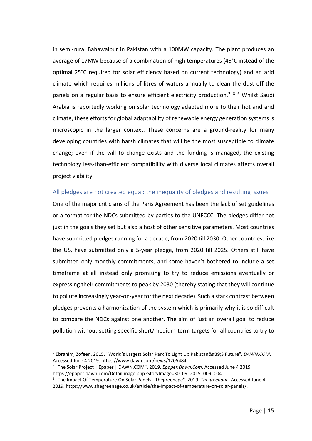in semi-rural Bahawalpur in Pakistan with a 100MW capacity. The plant produces an average of 17MW because of a combination of high temperatures (45°C instead of the optimal 25°C required for solar efficiency based on current technology) and an arid climate which requires millions of litres of waters annually to clean the dust off the panels on a regular basis to ensure efficient electricity production.<sup>[7](#page-15-1)[8](#page-15-2)[9](#page-15-3)</sup> Whilst Saudi Arabia is reportedly working on solar technology adapted more to their hot and arid climate, these efforts for global adaptability of renewable energy generation systems is microscopic in the larger context. These concerns are a ground-reality for many developing countries with harsh climates that will be the most susceptible to climate change; even if the will to change exists and the funding is managed, the existing technology less-than-efficient compatibility with diverse local climates affects overall project viability.

## <span id="page-15-0"></span>All pledges are not created equal: the inequality of pledges and resulting issues

One of the major criticisms of the Paris Agreement has been the lack of set guidelines or a format for the NDCs submitted by parties to the UNFCCC. The pledges differ not just in the goals they set but also a host of other sensitive parameters. Most countries have submitted pledges running for a decade, from 2020 till 2030. Other countries, like the US, have submitted only a 5-year pledge, from 2020 till 2025. Others still have submitted only monthly commitments, and some haven't bothered to include a set timeframe at all instead only promising to try to reduce emissions eventually or expressing their commitments to peak by 2030 (thereby stating that they will continue to pollute increasingly year-on-year for the next decade). Such a stark contrast between pledges prevents a harmonization of the system which is primarily why it is so difficult to compare the NDCs against one another. The aim of just an overall goal to reduce pollution without setting specific short/medium-term targets for all countries to try to

<span id="page-15-1"></span><sup>&</sup>lt;sup>7</sup> Ebrahim, Zofeen. 2015. "World's Largest Solar Park To Light Up Pakistan&#39;S Future". *DAWN.COM*. Accessed June 4 2019. https://www.dawn.com/news/1205484.

<span id="page-15-2"></span><sup>8</sup> "The Solar Project | Epaper | DAWN.COM". 2019. *Epaper.Dawn.Com*. Accessed June 4 2019. https://epaper.dawn.com/DetailImage.php?StoryImage=30\_09\_2015\_009\_004.

<span id="page-15-3"></span><sup>9</sup> "The Impact Of Temperature On Solar Panels - Thegreenage". 2019. *Thegreenage*. Accessed June 4 2019. https://www.thegreenage.co.uk/article/the-impact-of-temperature-on-solar-panels/.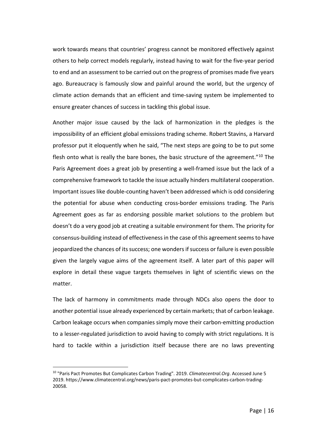work towards means that countries' progress cannot be monitored effectively against others to help correct models regularly, instead having to wait for the five-year period to end and an assessment to be carried out on the progress of promises made five years ago. Bureaucracy is famously slow and painful around the world, but the urgency of climate action demands that an efficient and time-saving system be implemented to ensure greater chances of success in tackling this global issue.

Another major issue caused by the lack of harmonization in the pledges is the impossibility of an efficient global emissions trading scheme. Robert Stavins, a Harvard professor put it eloquently when he said, "The next steps are going to be to put some flesh onto what is really the bare bones, the basic structure of the agreement."<sup>[10](#page-16-0)</sup> The Paris Agreement does a great job by presenting a well-framed issue but the lack of a comprehensive framework to tackle the issue actually hinders multilateral cooperation. Important issues like double-counting haven't been addressed which is odd considering the potential for abuse when conducting cross-border emissions trading. The Paris Agreement goes as far as endorsing possible market solutions to the problem but doesn't do a very good job at creating a suitable environment for them. The priority for consensus-building instead of effectiveness in the case of this agreement seems to have jeopardized the chances of its success; one wonders if success or failure is even possible given the largely vague aims of the agreement itself. A later part of this paper will explore in detail these vague targets themselves in light of scientific views on the matter.

The lack of harmony in commitments made through NDCs also opens the door to another potential issue already experienced by certain markets; that of carbon leakage. Carbon leakage occurs when companies simply move their carbon-emitting production to a lesser-regulated jurisdiction to avoid having to comply with strict regulations. It is hard to tackle within a jurisdiction itself because there are no laws preventing

<span id="page-16-0"></span> <sup>10</sup> "Paris Pact Promotes But Complicates Carbon Trading". 2019. *Climatecentral.Org*. Accessed June 5 2019. https://www.climatecentral.org/news/paris-pact-promotes-but-complicates-carbon-trading-20058.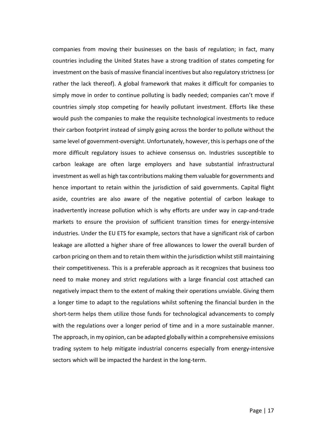companies from moving their businesses on the basis of regulation; in fact, many countries including the United States have a strong tradition of states competing for investment on the basis of massive financial incentives but also regulatory strictness (or rather the lack thereof). A global framework that makes it difficult for companies to simply move in order to continue polluting is badly needed; companies can't move if countries simply stop competing for heavily pollutant investment. Efforts like these would push the companies to make the requisite technological investments to reduce their carbon footprint instead of simply going across the border to pollute without the same level of government-oversight. Unfortunately, however, this is perhaps one of the more difficult regulatory issues to achieve consensus on. Industries susceptible to carbon leakage are often large employers and have substantial infrastructural investment as well as high tax contributions making them valuable for governments and hence important to retain within the jurisdiction of said governments. Capital flight aside, countries are also aware of the negative potential of carbon leakage to inadvertently increase pollution which is why efforts are under way in cap-and-trade markets to ensure the provision of sufficient transition times for energy-intensive industries. Under the EU ETS for example, sectors that have a significant risk of carbon leakage are allotted a higher share of free allowances to lower the overall burden of carbon pricing on them and to retain them within the jurisdiction whilst still maintaining their competitiveness. This is a preferable approach as it recognizes that business too need to make money and strict regulations with a large financial cost attached can negatively impact them to the extent of making their operations unviable. Giving them a longer time to adapt to the regulations whilst softening the financial burden in the short-term helps them utilize those funds for technological advancements to comply with the regulations over a longer period of time and in a more sustainable manner. The approach, in my opinion, can be adapted globally within a comprehensive emissions trading system to help mitigate industrial concerns especially from energy-intensive sectors which will be impacted the hardest in the long-term.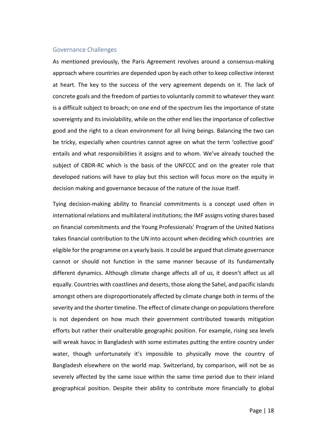#### <span id="page-18-0"></span>Governance Challenges

As mentioned previously, the Paris Agreement revolves around a consensus-making approach where countries are depended upon by each other to keep collective interest at heart. The key to the success of the very agreement depends on it. The lack of concrete goals and the freedom of parties to voluntarily commit to whatever they want is a difficult subject to broach; on one end of the spectrum lies the importance of state sovereignty and its inviolability, while on the other end lies the importance of collective good and the right to a clean environment for all living beings. Balancing the two can be tricky, especially when countries cannot agree on what the term 'collective good' entails and what responsibilities it assigns and to whom. We've already touched the subject of CBDR-RC which is the basis of the UNFCCC and on the greater role that developed nations will have to play but this section will focus more on the equity in decision making and governance because of the nature of the issue itself.

Tying decision-making ability to financial commitments is a concept used often in international relations and multilateral institutions; the IMF assigns voting shares based on financial commitments and the Young Professionals' Program of the United Nations takes financial contribution to the UN into account when deciding which countries are eligible for the programme on a yearly basis. It could be argued that climate governance cannot or should not function in the same manner because of its fundamentally different dynamics. Although climate change affects all of us, it doesn't affect us all equally. Countries with coastlines and deserts, those along the Sahel, and pacific islands amongst others are disproportionately affected by climate change both in terms of the severity and the shorter timeline. The effect of climate change on populations therefore is not dependent on how much their government contributed towards mitigation efforts but rather their unalterable geographic position. For example, rising sea levels will wreak havoc in Bangladesh with some estimates putting the entire country under water, though unfortunately it's impossible to physically move the country of Bangladesh elsewhere on the world map. Switzerland, by comparison, will not be as severely affected by the same issue within the same time period due to their inland geographical position. Despite their ability to contribute more financially to global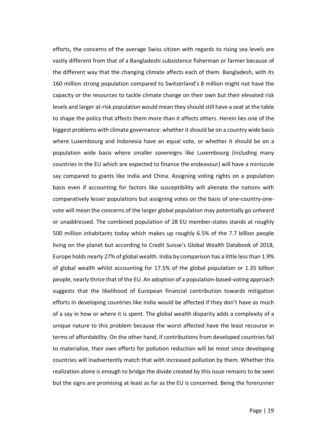efforts, the concerns of the average Swiss citizen with regards to rising sea levels are vastly different from that of a Bangladeshi subsistence fisherman or farmer because of the different way that the changing climate affects each of them. Bangladesh, with its 160 million strong population compared to Switzerland's 8 million might not have the capacity or the resources to tackle climate change on their own but their elevated risk levels and larger at-risk population would mean they should still have a seat at the table to shape the policy that affects them more than it affects others. Herein lies one of the biggest problems with climate governance: whether it should be on a country wide basis where Luxembourg and Indonesia have an equal vote, or whether it should be on a population wide basis where smaller sovereigns like Luxembourg (including many countries in the EU which are expected to finance the endeavour) will have a miniscule say compared to giants like India and China. Assigning voting rights on a population basis even if accounting for factors like susceptibility will alienate the nations with comparatively lesser populations but assigning votes on the basis of one-country-onevote will mean the concerns of the larger global population may potentially go unheard or unaddressed. The combined population of 28 EU member-states stands at roughly 500 million inhabitants today which makes up roughly 6.5% of the 7.7 billion people living on the planet but according to Credit Suisse's Global Wealth Databook of 2018, Europe holds nearly 27% of global wealth. India by comparison has a little less than 1.9% of global wealth whilst accounting for 17.5% of the global population or 1.35 billion people, nearly thrice that of the EU. An adoption of a population-based-voting approach suggests that the likelihood of European financial contribution towards mitigation efforts in developing countries like India would be affected if they don't have as much of a say in how or where it is spent. The global wealth disparity adds a complexity of a unique nature to this problem because the worst affected have the least recourse in terms of affordability. On the other hand, if contributions from developed countries fail to materialise, their own efforts for pollution reduction will be moot since developing countries will inadvertently match that with increased pollution by them. Whether this realization alone is enough to bridge the divide created by this issue remains to be seen but the signs are promising at least as far as the EU is concerned. Being the forerunner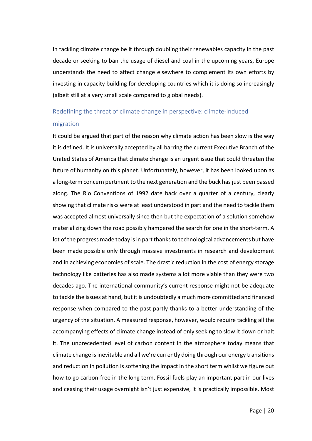in tackling climate change be it through doubling their renewables capacity in the past decade or seeking to ban the usage of diesel and coal in the upcoming years, Europe understands the need to affect change elsewhere to complement its own efforts by investing in capacity building for developing countries which it is doing so increasingly (albeit still at a very small scale compared to global needs).

# <span id="page-20-0"></span>Redefining the threat of climate change in perspective: climate-induced migration

It could be argued that part of the reason why climate action has been slow is the way it is defined. It is universally accepted by all barring the current Executive Branch of the United States of America that climate change is an urgent issue that could threaten the future of humanity on this planet. Unfortunately, however, it has been looked upon as a long-term concern pertinent to the next generation and the buck has just been passed along. The Rio Conventions of 1992 date back over a quarter of a century, clearly showing that climate risks were at least understood in part and the need to tackle them was accepted almost universally since then but the expectation of a solution somehow materializing down the road possibly hampered the search for one in the short-term. A lot of the progress made today is in part thanks to technological advancements but have been made possible only through massive investments in research and development and in achieving economies of scale. The drastic reduction in the cost of energy storage technology like batteries has also made systems a lot more viable than they were two decades ago. The international community's current response might not be adequate to tackle the issues at hand, but it is undoubtedly a much more committed and financed response when compared to the past partly thanks to a better understanding of the urgency of the situation. A measured response, however, would require tackling all the accompanying effects of climate change instead of only seeking to slow it down or halt it. The unprecedented level of carbon content in the atmosphere today means that climate change is inevitable and all we're currently doing through our energy transitions and reduction in pollution is softening the impact in the short term whilst we figure out how to go carbon-free in the long term. Fossil fuels play an important part in our lives and ceasing their usage overnight isn't just expensive, it is practically impossible. Most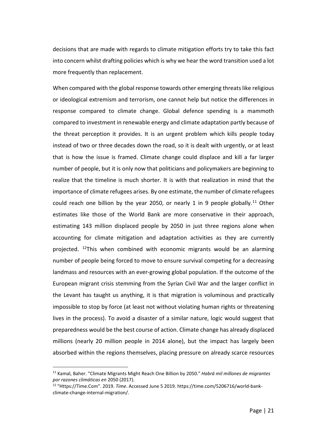decisions that are made with regards to climate mitigation efforts try to take this fact into concern whilst drafting policies which is why we hear the word transition used a lot more frequently than replacement.

When compared with the global response towards other emerging threats like religious or ideological extremism and terrorism, one cannot help but notice the differences in response compared to climate change. Global defence spending is a mammoth compared to investment in renewable energy and climate adaptation partly because of the threat perception it provides. It is an urgent problem which kills people today instead of two or three decades down the road, so it is dealt with urgently, or at least that is how the issue is framed. Climate change could displace and kill a far larger number of people, but it is only now that politicians and policymakers are beginning to realize that the timeline is much shorter. It is with that realization in mind that the importance of climate refugees arises. By one estimate, the number of climate refugees could reach one billion by the year 2050, or nearly 1 in 9 people globally.<sup>[11](#page-21-0)</sup> Other estimates like those of the World Bank are more conservative in their approach, estimating 143 million displaced people by 2050 in just three regions alone when accounting for climate mitigation and adaptation activities as they are currently projected. <sup>[12](#page-21-1)</sup>This when combined with economic migrants would be an alarming number of people being forced to move to ensure survival competing for a decreasing landmass and resources with an ever-growing global population. If the outcome of the European migrant crisis stemming from the Syrian Civil War and the larger conflict in the Levant has taught us anything, it is that migration is voluminous and practically impossible to stop by force (at least not without violating human rights or threatening lives in the process). To avoid a disaster of a similar nature, logic would suggest that preparedness would be the best course of action. Climate change has already displaced millions (nearly 20 million people in 2014 alone), but the impact has largely been absorbed within the regions themselves, placing pressure on already scarce resources

<span id="page-21-0"></span> <sup>11</sup> Kamal, Baher. "Climate Migrants Might Reach One Billion by 2050." *Habrá mil millones de migrantes por razones climáticas en* 2050 (2017).

<span id="page-21-1"></span><sup>12</sup> "Https://Time.Com". 2019. *Time*. Accessed June 5 2019. https://time.com/5206716/world-bankclimate-change-internal-migration/.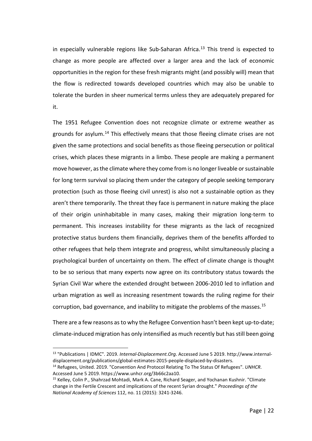in especially vulnerable regions like Sub-Saharan Africa.<sup>[13](#page-22-0)</sup> This trend is expected to change as more people are affected over a larger area and the lack of economic opportunities in the region for these fresh migrants might (and possibly will) mean that the flow is redirected towards developed countries which may also be unable to tolerate the burden in sheer numerical terms unless they are adequately prepared for it.

The 1951 Refugee Convention does not recognize climate or extreme weather as grounds for asylum.[14](#page-22-1) This effectively means that those fleeing climate crises are not given the same protections and social benefits as those fleeing persecution or political crises, which places these migrants in a limbo. These people are making a permanent move however, as the climate where they come from is no longer liveable or sustainable for long term survival so placing them under the category of people seeking temporary protection (such as those fleeing civil unrest) is also not a sustainable option as they aren't there temporarily. The threat they face is permanent in nature making the place of their origin uninhabitable in many cases, making their migration long-term to permanent. This increases instability for these migrants as the lack of recognized protective status burdens them financially, deprives them of the benefits afforded to other refugees that help them integrate and progress, whilst simultaneously placing a psychological burden of uncertainty on them. The effect of climate change is thought to be so serious that many experts now agree on its contributory status towards the Syrian Civil War where the extended drought between 2006-2010 led to inflation and urban migration as well as increasing resentment towards the ruling regime for their corruption, bad governance, and inability to mitigate the problems of the masses.<sup>[15](#page-22-2)</sup>

There are a few reasons as to why the Refugee Convention hasn't been kept up-to-date; climate-induced migration has only intensified as much recently but has still been going

<span id="page-22-0"></span> <sup>13</sup> "Publications | IDMC". 2019. *Internal-Displacement.Org*. Accessed June 5 2019. http://www.internaldisplacement.org/publications/global-estimates-2015-people-displaced-by-disasters.

<span id="page-22-1"></span><sup>14</sup> Refugees, United. 2019. "Convention And Protocol Relating To The Status Of Refugees". *UNHCR*. Accessed June 5 2019. https://www.unhcr.org/3b66c2aa10.

<span id="page-22-2"></span><sup>&</sup>lt;sup>15</sup> Kelley, Colin P., Shahrzad Mohtadi, Mark A. Cane, Richard Seager, and Yochanan Kushnir. "Climate change in the Fertile Crescent and implications of the recent Syrian drought." *Proceedings of the National Academy of Sciences* 112, no. 11 (2015): 3241-3246.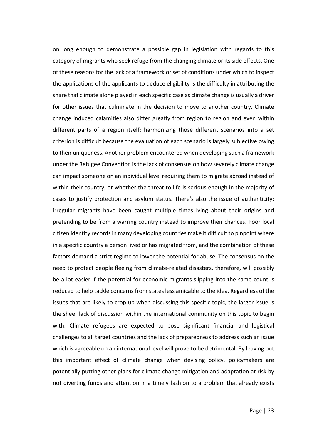on long enough to demonstrate a possible gap in legislation with regards to this category of migrants who seek refuge from the changing climate or its side effects. One of these reasons for the lack of a framework or set of conditions under which to inspect the applications of the applicants to deduce eligibility is the difficulty in attributing the share that climate alone played in each specific case as climate change is usually a driver for other issues that culminate in the decision to move to another country. Climate change induced calamities also differ greatly from region to region and even within different parts of a region itself; harmonizing those different scenarios into a set criterion is difficult because the evaluation of each scenario is largely subjective owing to their uniqueness. Another problem encountered when developing such a framework under the Refugee Convention is the lack of consensus on how severely climate change can impact someone on an individual level requiring them to migrate abroad instead of within their country, or whether the threat to life is serious enough in the majority of cases to justify protection and asylum status. There's also the issue of authenticity; irregular migrants have been caught multiple times lying about their origins and pretending to be from a warring country instead to improve their chances. Poor local citizen identity records in many developing countries make it difficult to pinpoint where in a specific country a person lived or has migrated from, and the combination of these factors demand a strict regime to lower the potential for abuse. The consensus on the need to protect people fleeing from climate-related disasters, therefore, will possibly be a lot easier if the potential for economic migrants slipping into the same count is reduced to help tackle concerns from states less amicable to the idea. Regardless of the issues that are likely to crop up when discussing this specific topic, the larger issue is the sheer lack of discussion within the international community on this topic to begin with. Climate refugees are expected to pose significant financial and logistical challenges to all target countries and the lack of preparedness to address such an issue which is agreeable on an international level will prove to be detrimental. By leaving out this important effect of climate change when devising policy, policymakers are potentially putting other plans for climate change mitigation and adaptation at risk by not diverting funds and attention in a timely fashion to a problem that already exists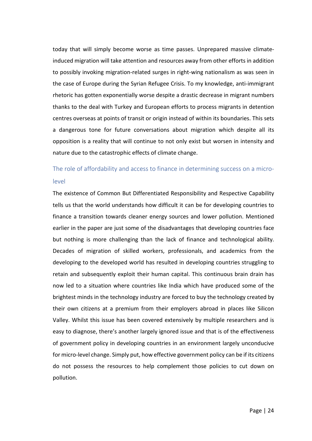today that will simply become worse as time passes. Unprepared massive climateinduced migration will take attention and resources away from other efforts in addition to possibly invoking migration-related surges in right-wing nationalism as was seen in the case of Europe during the Syrian Refugee Crisis. To my knowledge, anti-immigrant rhetoric has gotten exponentially worse despite a drastic decrease in migrant numbers thanks to the deal with Turkey and European efforts to process migrants in detention centres overseas at points of transit or origin instead of within its boundaries. This sets a dangerous tone for future conversations about migration which despite all its opposition is a reality that will continue to not only exist but worsen in intensity and nature due to the catastrophic effects of climate change.

# <span id="page-24-0"></span>The role of affordability and access to finance in determining success on a microlevel

The existence of Common But Differentiated Responsibility and Respective Capability tells us that the world understands how difficult it can be for developing countries to finance a transition towards cleaner energy sources and lower pollution. Mentioned earlier in the paper are just some of the disadvantages that developing countries face but nothing is more challenging than the lack of finance and technological ability. Decades of migration of skilled workers, professionals, and academics from the developing to the developed world has resulted in developing countries struggling to retain and subsequently exploit their human capital. This continuous brain drain has now led to a situation where countries like India which have produced some of the brightest minds in the technology industry are forced to buy the technology created by their own citizens at a premium from their employers abroad in places like Silicon Valley. Whilst this issue has been covered extensively by multiple researchers and is easy to diagnose, there's another largely ignored issue and that is of the effectiveness of government policy in developing countries in an environment largely unconducive for micro-level change. Simply put, how effective government policy can be if its citizens do not possess the resources to help complement those policies to cut down on pollution.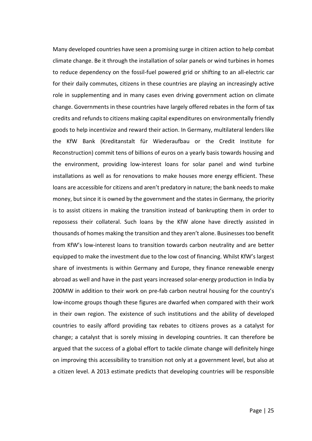Many developed countries have seen a promising surge in citizen action to help combat climate change. Be it through the installation of solar panels or wind turbines in homes to reduce dependency on the fossil-fuel powered grid or shifting to an all-electric car for their daily commutes, citizens in these countries are playing an increasingly active role in supplementing and in many cases even driving government action on climate change. Governments in these countries have largely offered rebates in the form of tax credits and refunds to citizens making capital expenditures on environmentally friendly goods to help incentivize and reward their action. In Germany, multilateral lenders like the KfW Bank (Kreditanstalt für Wiederaufbau or the Credit Institute for Reconstruction) commit tens of billions of euros on a yearly basis towards housing and the environment, providing low-interest loans for solar panel and wind turbine installations as well as for renovations to make houses more energy efficient. These loans are accessible for citizens and aren't predatory in nature; the bank needs to make money, but since it is owned by the government and the states in Germany, the priority is to assist citizens in making the transition instead of bankrupting them in order to repossess their collateral. Such loans by the KfW alone have directly assisted in thousands of homes making the transition and they aren't alone. Businesses too benefit from KfW's low-interest loans to transition towards carbon neutrality and are better equipped to make the investment due to the low cost of financing. Whilst KfW's largest share of investments is within Germany and Europe, they finance renewable energy abroad as well and have in the past years increased solar-energy production in India by 200MW in addition to their work on pre-fab carbon neutral housing for the country's low-income groups though these figures are dwarfed when compared with their work in their own region. The existence of such institutions and the ability of developed countries to easily afford providing tax rebates to citizens proves as a catalyst for change; a catalyst that is sorely missing in developing countries. It can therefore be argued that the success of a global effort to tackle climate change will definitely hinge on improving this accessibility to transition not only at a government level, but also at a citizen level. A 2013 estimate predicts that developing countries will be responsible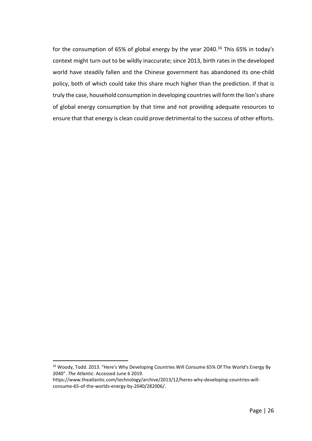for the consumption of 65% of global energy by the year 2040.<sup>[16](#page-26-0)</sup> This 65% in today's context might turn out to be wildly inaccurate; since 2013, birth rates in the developed world have steadily fallen and the Chinese government has abandoned its one-child policy, both of which could take this share much higher than the prediction. If that is truly the case, household consumption in developing countries will form the lion's share of global energy consumption by that time and not providing adequate resources to ensure that that energy is clean could prove detrimental to the success of other efforts.

<span id="page-26-0"></span><sup>&</sup>lt;sup>16</sup> Woody, Todd. 2013. "Here's Why Developing Countries Will Consume 65% Of The World's Energy By 2040". *The Atlantic*. Accessed June 6 2019.

https://www.theatlantic.com/technology/archive/2013/12/heres-why-developing-countries-willconsume-65-of-the-worlds-energy-by-2040/282006/.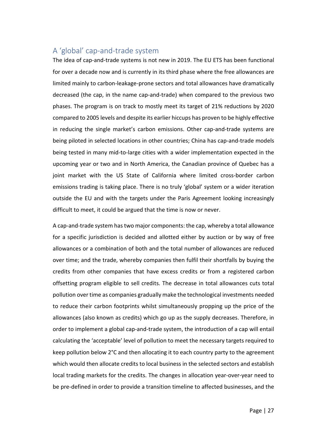## <span id="page-27-0"></span>A 'global' cap-and-trade system

The idea of cap-and-trade systems is not new in 2019. The EU ETS has been functional for over a decade now and is currently in its third phase where the free allowances are limited mainly to carbon-leakage-prone sectors and total allowances have dramatically decreased (the cap, in the name cap-and-trade) when compared to the previous two phases. The program is on track to mostly meet its target of 21% reductions by 2020 compared to 2005 levels and despite its earlier hiccups has proven to be highly effective in reducing the single market's carbon emissions. Other cap-and-trade systems are being piloted in selected locations in other countries; China has cap-and-trade models being tested in many mid-to-large cities with a wider implementation expected in the upcoming year or two and in North America, the Canadian province of Quebec has a joint market with the US State of California where limited cross-border carbon emissions trading is taking place. There is no truly 'global' system or a wider iteration outside the EU and with the targets under the Paris Agreement looking increasingly difficult to meet, it could be argued that the time is now or never.

A cap-and-trade system has two major components: the cap, whereby a total allowance for a specific jurisdiction is decided and allotted either by auction or by way of free allowances or a combination of both and the total number of allowances are reduced over time; and the trade, whereby companies then fulfil their shortfalls by buying the credits from other companies that have excess credits or from a registered carbon offsetting program eligible to sell credits. The decrease in total allowances cuts total pollution over time as companies gradually make the technological investments needed to reduce their carbon footprints whilst simultaneously propping up the price of the allowances (also known as credits) which go up as the supply decreases. Therefore, in order to implement a global cap-and-trade system, the introduction of a cap will entail calculating the 'acceptable' level of pollution to meet the necessary targets required to keep pollution below 2°C and then allocating it to each country party to the agreement which would then allocate credits to local business in the selected sectors and establish local trading markets for the credits. The changes in allocation year-over-year need to be pre-defined in order to provide a transition timeline to affected businesses, and the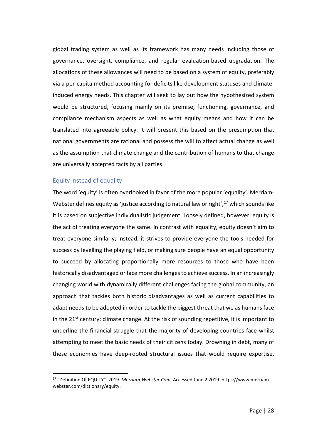global trading system as well as its framework has many needs including those of governance, oversight, compliance, and regular evaluation-based upgradation. The allocations of these allowances will need to be based on a system of equity, preferably via a per-capita method accounting for deficits like development statuses and climateinduced energy needs. This chapter will seek to lay out how the hypothesized system would be structured, focusing mainly on its premise, functioning, governance, and compliance mechanism aspects as well as what equity means and how it can be translated into agreeable policy. It will present this based on the presumption that national governments are rational and possess the will to affect actual change as well as the assumption that climate change and the contribution of humans to that change are universally accepted facts by all parties.

## <span id="page-28-0"></span>Equity instead of equality

The word 'equity' is often overlooked in favor of the more popular 'equality'. Merriam-Webster defines equity as 'justice according to natural law or right',<sup>[17](#page-28-1)</sup> which sounds like it is based on subjective individualistic judgement. Loosely defined, however, equity is the act of treating everyone the same. In contrast with equality, equity doesn't aim to treat everyone similarly; instead, it strives to provide everyone the tools needed for success by levelling the playing field, or making sure people have an equal opportunity to succeed by allocating proportionally more resources to those who have been historically disadvantaged or face more challenges to achieve success. In an increasingly changing world with dynamically different challenges facing the global community, an approach that tackles both historic disadvantages as well as current capabilities to adapt needs to be adopted in order to tackle the biggest threat that we as humans face in the  $21<sup>st</sup>$  century: climate change. At the risk of sounding repetitive, it is important to underline the financial struggle that the majority of developing countries face whilst attempting to meet the basic needs of their citizens today. Drowning in debt, many of these economies have deep-rooted structural issues that would require expertise,

<span id="page-28-1"></span> <sup>17</sup> "Definition Of EQUITY". 2019. *Merriam-Webster.Com*. Accessed June <sup>2</sup> 2019. https://www.merriamwebster.com/dictionary/equity.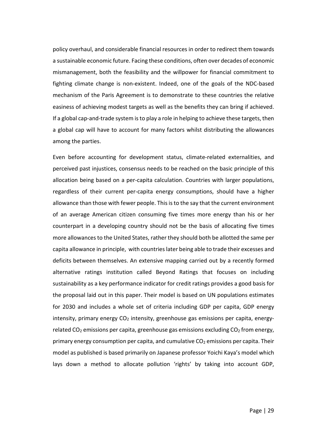policy overhaul, and considerable financial resources in order to redirect them towards a sustainable economic future. Facing these conditions, often over decades of economic mismanagement, both the feasibility and the willpower for financial commitment to fighting climate change is non-existent. Indeed, one of the goals of the NDC-based mechanism of the Paris Agreement is to demonstrate to these countries the relative easiness of achieving modest targets as well as the benefits they can bring if achieved. If a global cap-and-trade system is to play a role in helping to achieve these targets, then a global cap will have to account for many factors whilst distributing the allowances among the parties.

Even before accounting for development status, climate-related externalities, and perceived past injustices, consensus needs to be reached on the basic principle of this allocation being based on a per-capita calculation. Countries with larger populations, regardless of their current per-capita energy consumptions, should have a higher allowance than those with fewer people. This is to the say that the current environment of an average American citizen consuming five times more energy than his or her counterpart in a developing country should not be the basis of allocating five times more allowances to the United States, rather they should both be allotted the same per capita allowance in principle, with countries later being able to trade their excesses and deficits between themselves. An extensive mapping carried out by a recently formed alternative ratings institution called Beyond Ratings that focuses on including sustainability as a key performance indicator for credit ratings provides a good basis for the proposal laid out in this paper. Their model is based on UN populations estimates for 2030 and includes a whole set of criteria including GDP per capita, GDP energy intensity, primary energy  $CO<sub>2</sub>$  intensity, greenhouse gas emissions per capita, energyrelated  $CO<sub>2</sub>$  emissions per capita, greenhouse gas emissions excluding  $CO<sub>2</sub>$  from energy, primary energy consumption per capita, and cumulative  $CO<sub>2</sub>$  emissions per capita. Their model as published is based primarily on Japanese professor Yoichi Kaya's model which lays down a method to allocate pollution 'rights' by taking into account GDP,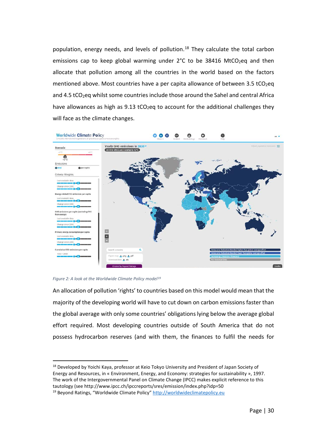population, energy needs, and levels of pollution.<sup>[18](#page-30-0)</sup> They calculate the total carbon emissions cap to keep global warming under  $2^{\circ}$ C to be 38416 MtCO<sub>2</sub>eq and then allocate that pollution among all the countries in the world based on the factors mentioned above. Most countries have a per capita allowance of between  $3.5$  tCO<sub>2</sub>eq and 4.5 tCO<sub>2</sub>eq whilst some countries include those around the Sahel and central Africa have allowances as high as  $9.13$  tCO<sub>2</sub>eq to account for the additional challenges they will face as the climate changes.



*Figure 2: A look at the Worldwide Climate Policy model[19](#page-30-1)*

An allocation of pollution 'rights' to countries based on this model would mean that the majority of the developing world will have to cut down on carbon emissions faster than the global average with only some countries' obligations lying below the average global effort required. Most developing countries outside of South America that do not possess hydrocarbon reserves (and with them, the finances to fulfil the needs for

<span id="page-30-1"></span><span id="page-30-0"></span><sup>&</sup>lt;sup>18</sup> Developed by Yoichi Kaya, professor at Keio Tokyo University and President of Japan Society of Energy and Resources, in « Environment, Energy, and Economy: strategies for sustainability », 1997. The work of the Intergovernmental Panel on Climate Change (IPCC) makes explicit reference to this tautology (see http://www.ipcc.ch/ipccreports/sres/emission/index.php?idp=50 <sup>19</sup> Beyond Ratings, "Worldwide Climate Policy" [http://worldwideclimatepolicy.eu](http://worldwideclimatepolicy.eu/)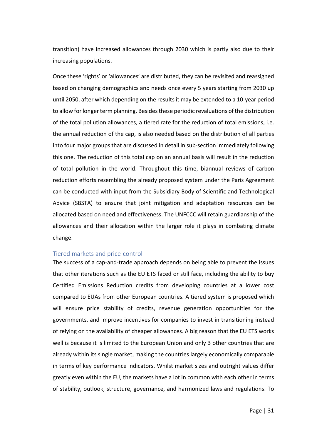transition) have increased allowances through 2030 which is partly also due to their increasing populations.

Once these 'rights' or 'allowances' are distributed, they can be revisited and reassigned based on changing demographics and needs once every 5 years starting from 2030 up until 2050, after which depending on the results it may be extended to a 10-year period to allow for longer term planning. Besides these periodic revaluations of the distribution of the total pollution allowances, a tiered rate for the reduction of total emissions, i.e. the annual reduction of the cap, is also needed based on the distribution of all parties into four major groups that are discussed in detail in sub-section immediately following this one. The reduction of this total cap on an annual basis will result in the reduction of total pollution in the world. Throughout this time, biannual reviews of carbon reduction efforts resembling the already proposed system under the Paris Agreement can be conducted with input from the Subsidiary Body of Scientific and Technological Advice (SBSTA) to ensure that joint mitigation and adaptation resources can be allocated based on need and effectiveness. The UNFCCC will retain guardianship of the allowances and their allocation within the larger role it plays in combating climate change.

## <span id="page-31-0"></span>Tiered markets and price-control

The success of a cap-and-trade approach depends on being able to prevent the issues that other iterations such as the EU ETS faced or still face, including the ability to buy Certified Emissions Reduction credits from developing countries at a lower cost compared to EUAs from other European countries. A tiered system is proposed which will ensure price stability of credits, revenue generation opportunities for the governments, and improve incentives for companies to invest in transitioning instead of relying on the availability of cheaper allowances. A big reason that the EU ETS works well is because it is limited to the European Union and only 3 other countries that are already within its single market, making the countries largely economically comparable in terms of key performance indicators. Whilst market sizes and outright values differ greatly even within the EU, the markets have a lot in common with each other in terms of stability, outlook, structure, governance, and harmonized laws and regulations. To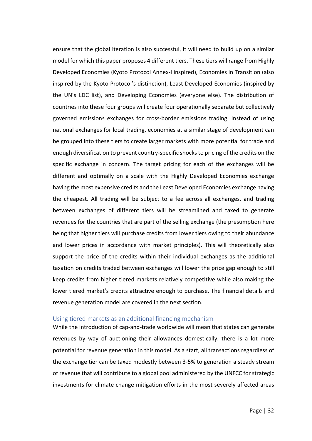ensure that the global iteration is also successful, it will need to build up on a similar model for which this paper proposes 4 different tiers. These tiers will range from Highly Developed Economies (Kyoto Protocol Annex-I inspired), Economies in Transition (also inspired by the Kyoto Protocol's distinction), Least Developed Economies (inspired by the UN's LDC list), and Developing Economies (everyone else). The distribution of countries into these four groups will create four operationally separate but collectively governed emissions exchanges for cross-border emissions trading. Instead of using national exchanges for local trading, economies at a similar stage of development can be grouped into these tiers to create larger markets with more potential for trade and enough diversification to prevent country-specific shocks to pricing of the credits on the specific exchange in concern. The target pricing for each of the exchanges will be different and optimally on a scale with the Highly Developed Economies exchange having the most expensive credits and the Least Developed Economies exchange having the cheapest. All trading will be subject to a fee across all exchanges, and trading between exchanges of different tiers will be streamlined and taxed to generate revenues for the countries that are part of the selling exchange (the presumption here being that higher tiers will purchase credits from lower tiers owing to their abundance and lower prices in accordance with market principles). This will theoretically also support the price of the credits within their individual exchanges as the additional taxation on credits traded between exchanges will lower the price gap enough to still keep credits from higher tiered markets relatively competitive while also making the lower tiered market's credits attractive enough to purchase. The financial details and revenue generation model are covered in the next section.

## <span id="page-32-0"></span>Using tiered markets as an additional financing mechanism

While the introduction of cap-and-trade worldwide will mean that states can generate revenues by way of auctioning their allowances domestically, there is a lot more potential for revenue generation in this model. As a start, all transactions regardless of the exchange tier can be taxed modestly between 3-5% to generation a steady stream of revenue that will contribute to a global pool administered by the UNFCC for strategic investments for climate change mitigation efforts in the most severely affected areas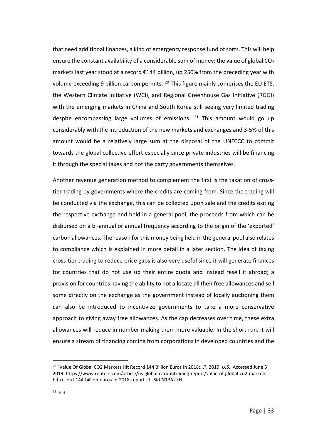that need additional finances, a kind of emergency response fund of sorts. This will help ensure the constant availability of a considerable sum of money; the value of global  $CO<sub>2</sub>$ markets last year stood at a record €144 billion, up 250% from the preceding year with volume exceeding 9 billion carbon permits.  $^{20}$  $^{20}$  $^{20}$  This figure mainly comprises the EU ETS, the Western Climate Initiative (WCI), and Regional Greenhouse Gas Initiative (RGGI) with the emerging markets in China and South Korea still seeing very limited trading despite encompassing large volumes of emissions.  $21$  This amount would go up considerably with the introduction of the new markets and exchanges and 3-5% of this amount would be a relatively large sum at the disposal of the UNFCCC to commit towards the global collective effort especially since private industries will be financing it through the special taxes and not the party governments themselves.

Another revenue generation method to complement the first is the taxation of crosstier trading by governments where the credits are coming from. Since the trading will be conducted via the exchange, this can be collected upon sale and the credits exiting the respective exchange and held in a general pool, the proceeds from which can be disbursed on a bi-annual or annual frequency according to the origin of the 'exported' carbon allowances. The reason for this money being held in the general pool also relates to compliance which is explained in more detail in a later section. The idea of taxing cross-tier trading to reduce price gaps is also very useful since it will generate finances for countries that do not use up their entire quota and instead resell it abroad; a provision for countries having the ability to not allocate all their free allowances and sell some directly on the exchange as the government instead of locally auctioning them can also be introduced to incentivize governments to take a more conservative approach to giving away free allowances. As the cap decreases over time, these extra allowances will reduce in number making them more valuable. In the short run, it will ensure a stream of financing coming from corporations in developed countries and the

<span id="page-33-1"></span><span id="page-33-0"></span> <sup>20</sup> "Value Of Global CO2 Markets Hit Record 144 Billion Euros In 2018:...". 2019. *U.S.*. Accessed June 5 2019. https://www.reuters.com/article/us-global-carbontrading-report/value-of-global-co2-marketshit-record-144-billion-euros-in-2018-report-idUSKCN1PA27H.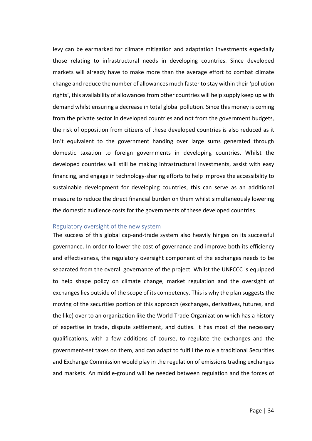levy can be earmarked for climate mitigation and adaptation investments especially those relating to infrastructural needs in developing countries. Since developed markets will already have to make more than the average effort to combat climate change and reduce the number of allowances much faster to stay within their 'pollution rights', this availability of allowances from other countries will help supply keep up with demand whilst ensuring a decrease in total global pollution. Since this money is coming from the private sector in developed countries and not from the government budgets, the risk of opposition from citizens of these developed countries is also reduced as it isn't equivalent to the government handing over large sums generated through domestic taxation to foreign governments in developing countries. Whilst the developed countries will still be making infrastructural investments, assist with easy financing, and engage in technology-sharing efforts to help improve the accessibility to sustainable development for developing countries, this can serve as an additional measure to reduce the direct financial burden on them whilst simultaneously lowering the domestic audience costs for the governments of these developed countries.

## <span id="page-34-0"></span>Regulatory oversight of the new system

The success of this global cap-and-trade system also heavily hinges on its successful governance. In order to lower the cost of governance and improve both its efficiency and effectiveness, the regulatory oversight component of the exchanges needs to be separated from the overall governance of the project. Whilst the UNFCCC is equipped to help shape policy on climate change, market regulation and the oversight of exchanges lies outside of the scope of its competency. This is why the plan suggests the moving of the securities portion of this approach (exchanges, derivatives, futures, and the like) over to an organization like the World Trade Organization which has a history of expertise in trade, dispute settlement, and duties. It has most of the necessary qualifications, with a few additions of course, to regulate the exchanges and the government-set taxes on them, and can adapt to fulfill the role a traditional Securities and Exchange Commission would play in the regulation of emissions trading exchanges and markets. An middle-ground will be needed between regulation and the forces of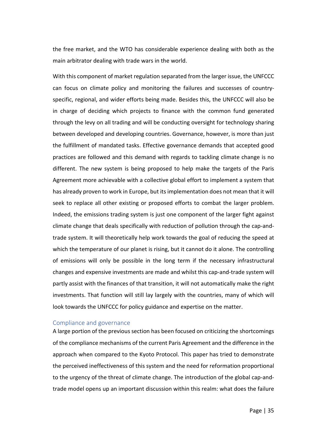the free market, and the WTO has considerable experience dealing with both as the main arbitrator dealing with trade wars in the world.

With this component of market regulation separated from the larger issue, the UNFCCC can focus on climate policy and monitoring the failures and successes of countryspecific, regional, and wider efforts being made. Besides this, the UNFCCC will also be in charge of deciding which projects to finance with the common fund generated through the levy on all trading and will be conducting oversight for technology sharing between developed and developing countries. Governance, however, is more than just the fulfillment of mandated tasks. Effective governance demands that accepted good practices are followed and this demand with regards to tackling climate change is no different. The new system is being proposed to help make the targets of the Paris Agreement more achievable with a collective global effort to implement a system that has already proven to work in Europe, but its implementation does not mean that it will seek to replace all other existing or proposed efforts to combat the larger problem. Indeed, the emissions trading system is just one component of the larger fight against climate change that deals specifically with reduction of pollution through the cap-andtrade system. It will theoretically help work towards the goal of reducing the speed at which the temperature of our planet is rising, but it cannot do it alone. The controlling of emissions will only be possible in the long term if the necessary infrastructural changes and expensive investments are made and whilst this cap-and-trade system will partly assist with the finances of that transition, it will not automatically make the right investments. That function will still lay largely with the countries, many of which will look towards the UNFCCC for policy guidance and expertise on the matter.

## <span id="page-35-0"></span>Compliance and governance

A large portion of the previous section has been focused on criticizing the shortcomings of the compliance mechanisms of the current Paris Agreement and the difference in the approach when compared to the Kyoto Protocol. This paper has tried to demonstrate the perceived ineffectiveness of this system and the need for reformation proportional to the urgency of the threat of climate change. The introduction of the global cap-andtrade model opens up an important discussion within this realm: what does the failure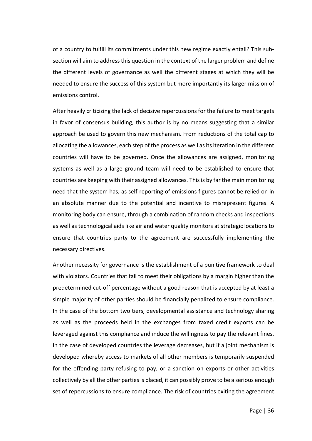of a country to fulfill its commitments under this new regime exactly entail? This subsection will aim to address this question in the context of the larger problem and define the different levels of governance as well the different stages at which they will be needed to ensure the success of this system but more importantly its larger mission of emissions control.

After heavily criticizing the lack of decisive repercussions for the failure to meet targets in favor of consensus building, this author is by no means suggesting that a similar approach be used to govern this new mechanism. From reductions of the total cap to allocating the allowances, each step of the process as well as its iteration in the different countries will have to be governed. Once the allowances are assigned, monitoring systems as well as a large ground team will need to be established to ensure that countries are keeping with their assigned allowances. This is by far the main monitoring need that the system has, as self-reporting of emissions figures cannot be relied on in an absolute manner due to the potential and incentive to misrepresent figures. A monitoring body can ensure, through a combination of random checks and inspections as well as technological aids like air and water quality monitors at strategic locations to ensure that countries party to the agreement are successfully implementing the necessary directives.

Another necessity for governance is the establishment of a punitive framework to deal with violators. Countries that fail to meet their obligations by a margin higher than the predetermined cut-off percentage without a good reason that is accepted by at least a simple majority of other parties should be financially penalized to ensure compliance. In the case of the bottom two tiers, developmental assistance and technology sharing as well as the proceeds held in the exchanges from taxed credit exports can be leveraged against this compliance and induce the willingness to pay the relevant fines. In the case of developed countries the leverage decreases, but if a joint mechanism is developed whereby access to markets of all other members is temporarily suspended for the offending party refusing to pay, or a sanction on exports or other activities collectively by all the other parties is placed, it can possibly prove to be a serious enough set of repercussions to ensure compliance. The risk of countries exiting the agreement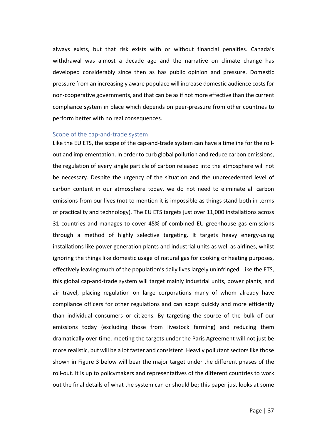always exists, but that risk exists with or without financial penalties. Canada's withdrawal was almost a decade ago and the narrative on climate change has developed considerably since then as has public opinion and pressure. Domestic pressure from an increasingly aware populace will increase domestic audience costs for non-cooperative governments, and that can be as if not more effective than the current compliance system in place which depends on peer-pressure from other countries to perform better with no real consequences.

## <span id="page-37-0"></span>Scope of the cap-and-trade system

Like the EU ETS, the scope of the cap-and-trade system can have a timeline for the rollout and implementation. In order to curb global pollution and reduce carbon emissions, the regulation of every single particle of carbon released into the atmosphere will not be necessary. Despite the urgency of the situation and the unprecedented level of carbon content in our atmosphere today, we do not need to eliminate all carbon emissions from our lives (not to mention it is impossible as things stand both in terms of practicality and technology). The EU ETS targets just over 11,000 installations across 31 countries and manages to cover 45% of combined EU greenhouse gas emissions through a method of highly selective targeting. It targets heavy energy-using installations like power generation plants and industrial units as well as airlines, whilst ignoring the things like domestic usage of natural gas for cooking or heating purposes, effectively leaving much of the population's daily lives largely uninfringed. Like the ETS, this global cap-and-trade system will target mainly industrial units, power plants, and air travel, placing regulation on large corporations many of whom already have compliance officers for other regulations and can adapt quickly and more efficiently than individual consumers or citizens. By targeting the source of the bulk of our emissions today (excluding those from livestock farming) and reducing them dramatically over time, meeting the targets under the Paris Agreement will not just be more realistic, but will be a lot faster and consistent. Heavily pollutant sectors like those shown in Figure 3 below will bear the major target under the different phases of the roll-out. It is up to policymakers and representatives of the different countries to work out the final details of what the system can or should be; this paper just looks at some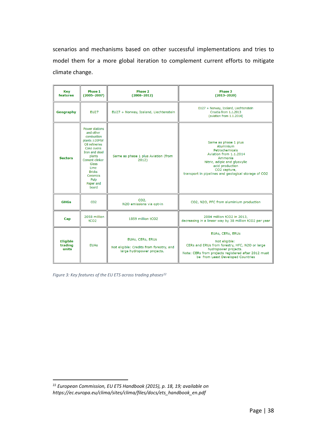scenarios and mechanisms based on other successful implementations and tries to model them for a more global iteration to complement current efforts to mitigate climate change.

| Key<br>features                     | Phase 1<br>$(2005 - 2007)$                                                                                                                                                                                                 | Phase 2<br>$(2008 - 2012)$                                                                 | Phase 3<br>$(2013 - 2020)$                                                                                                                                                                                          |
|-------------------------------------|----------------------------------------------------------------------------------------------------------------------------------------------------------------------------------------------------------------------------|--------------------------------------------------------------------------------------------|---------------------------------------------------------------------------------------------------------------------------------------------------------------------------------------------------------------------|
| Geography                           | <b>EU27</b>                                                                                                                                                                                                                | EU27 + Norway, Iceland, Liechtenstein                                                      | EU27 + Norway, Iceland, Liechtenstein<br>Croatia from 1.1.2013<br>(aviation from 1.1.2014)                                                                                                                          |
| <b>Sectors</b>                      | <b>Power stations</b><br>and other<br>combustion<br>plants ≥20MW<br>Oil refineries<br>Coke ovens<br>Iron and steel<br>plants<br>Cement clinker<br>Glass<br>Lime<br><b>Bricks</b><br>Ceramics<br>Pulp<br>Paper and<br>board | Same as phase 1 plus Aviation (from<br>2012)                                               | Same as phase 1 plus<br>Aluminium<br>Petrochemicals<br>Aviation from 1.1.2014<br>Ammonia<br>Nitric, adipic and glyoxylic<br>acid production<br>CO2 capture,<br>transport in pipelines and geological storage of CO2 |
| <b>GHGs</b>                         | CO <sub>2</sub>                                                                                                                                                                                                            | CO <sub>2</sub><br>N2O emissions via opt-in                                                | CO2, N2O, PFC from aluminium production                                                                                                                                                                             |
| Cap                                 | 2058 million<br>tCO <sub>2</sub>                                                                                                                                                                                           | 1859 million tCO2                                                                          | 2084 million tCO2 in 2013,<br>decreasing in a linear way by 38 million tCO2 per year                                                                                                                                |
| <b>Eligible</b><br>trading<br>units | <b>EUAs</b>                                                                                                                                                                                                                | EUAs, CERs, ERUs<br>Not eligible: Credits from forestry, and<br>large hydropower projects. | EUAs, CERs, ERUs<br>Not eligible:<br>CERs and ERUs from forestry, HFC, N2O or large<br>hydropower projects.<br>Note: CERs from projects registered after 2012 must<br>be from Least Developed Countries             |

*Figure 3: Key features of the EU ETS across trading phases[22](#page-38-0)*

<span id="page-38-0"></span> <sup>22</sup> *European Commission, EU ETS Handbook (2015), p. 18, 19; available on https://ec.europa.eu/clima/sites/clima/files/docs/ets\_handbook\_en.pdf*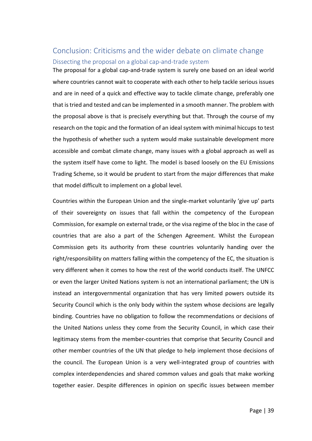## <span id="page-39-1"></span><span id="page-39-0"></span>Conclusion: Criticisms and the wider debate on climate change Dissecting the proposal on a global cap-and-trade system

The proposal for a global cap-and-trade system is surely one based on an ideal world where countries cannot wait to cooperate with each other to help tackle serious issues and are in need of a quick and effective way to tackle climate change, preferably one that is tried and tested and can be implemented in a smooth manner. The problem with the proposal above is that is precisely everything but that. Through the course of my research on the topic and the formation of an ideal system with minimal hiccups to test the hypothesis of whether such a system would make sustainable development more accessible and combat climate change, many issues with a global approach as well as the system itself have come to light. The model is based loosely on the EU Emissions Trading Scheme, so it would be prudent to start from the major differences that make that model difficult to implement on a global level.

Countries within the European Union and the single-market voluntarily 'give up' parts of their sovereignty on issues that fall within the competency of the European Commission, for example on external trade, or the visa regime of the bloc in the case of countries that are also a part of the Schengen Agreement. Whilst the European Commission gets its authority from these countries voluntarily handing over the right/responsibility on matters falling within the competency of the EC, the situation is very different when it comes to how the rest of the world conducts itself. The UNFCC or even the larger United Nations system is not an international parliament; the UN is instead an intergovernmental organization that has very limited powers outside its Security Council which is the only body within the system whose decisions are legally binding. Countries have no obligation to follow the recommendations or decisions of the United Nations unless they come from the Security Council, in which case their legitimacy stems from the member-countries that comprise that Security Council and other member countries of the UN that pledge to help implement those decisions of the council. The European Union is a very well-integrated group of countries with complex interdependencies and shared common values and goals that make working together easier. Despite differences in opinion on specific issues between member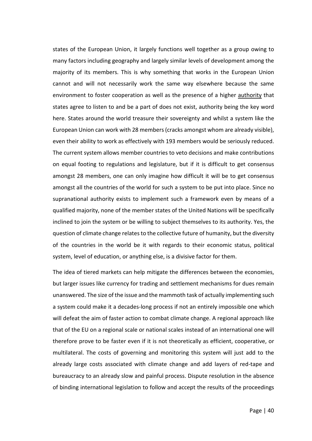states of the European Union, it largely functions well together as a group owing to many factors including geography and largely similar levels of development among the majority of its members. This is why something that works in the European Union cannot and will not necessarily work the same way elsewhere because the same environment to foster cooperation as well as the presence of a higher authority that states agree to listen to and be a part of does not exist, authority being the key word here. States around the world treasure their sovereignty and whilst a system like the European Union can work with 28 members (cracks amongst whom are already visible), even their ability to work as effectively with 193 members would be seriously reduced. The current system allows member countries to veto decisions and make contributions on equal footing to regulations and legislature, but if it is difficult to get consensus amongst 28 members, one can only imagine how difficult it will be to get consensus amongst all the countries of the world for such a system to be put into place. Since no supranational authority exists to implement such a framework even by means of a qualified majority, none of the member states of the United Nations will be specifically inclined to join the system or be willing to subject themselves to its authority. Yes, the question of climate change relates to the collective future of humanity, but the diversity of the countries in the world be it with regards to their economic status, political system, level of education, or anything else, is a divisive factor for them.

The idea of tiered markets can help mitigate the differences between the economies, but larger issues like currency for trading and settlement mechanisms for dues remain unanswered. The size of the issue and the mammoth task of actually implementing such a system could make it a decades-long process if not an entirely impossible one which will defeat the aim of faster action to combat climate change. A regional approach like that of the EU on a regional scale or national scales instead of an international one will therefore prove to be faster even if it is not theoretically as efficient, cooperative, or multilateral. The costs of governing and monitoring this system will just add to the already large costs associated with climate change and add layers of red-tape and bureaucracy to an already slow and painful process. Dispute resolution in the absence of binding international legislation to follow and accept the results of the proceedings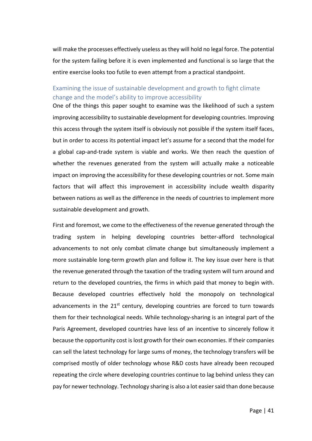will make the processes effectively useless as they will hold no legal force. The potential for the system failing before it is even implemented and functional is so large that the entire exercise looks too futile to even attempt from a practical standpoint.

## <span id="page-41-0"></span>Examining the issue of sustainable development and growth to fight climate change and the model's ability to improve accessibility

One of the things this paper sought to examine was the likelihood of such a system improving accessibility to sustainable development for developing countries. Improving this access through the system itself is obviously not possible if the system itself faces, but in order to access its potential impact let's assume for a second that the model for a global cap-and-trade system is viable and works. We then reach the question of whether the revenues generated from the system will actually make a noticeable impact on improving the accessibility for these developing countries or not. Some main factors that will affect this improvement in accessibility include wealth disparity between nations as well as the difference in the needs of countries to implement more sustainable development and growth.

First and foremost, we come to the effectiveness of the revenue generated through the trading system in helping developing countries better-afford technological advancements to not only combat climate change but simultaneously implement a more sustainable long-term growth plan and follow it. The key issue over here is that the revenue generated through the taxation of the trading system will turn around and return to the developed countries, the firms in which paid that money to begin with. Because developed countries effectively hold the monopoly on technological advancements in the  $21^{st}$  century, developing countries are forced to turn towards them for their technological needs. While technology-sharing is an integral part of the Paris Agreement, developed countries have less of an incentive to sincerely follow it because the opportunity cost is lost growth for their own economies. If their companies can sell the latest technology for large sums of money, the technology transfers will be comprised mostly of older technology whose R&D costs have already been recouped repeating the circle where developing countries continue to lag behind unless they can pay for newer technology. Technology sharing is also a lot easier said than done because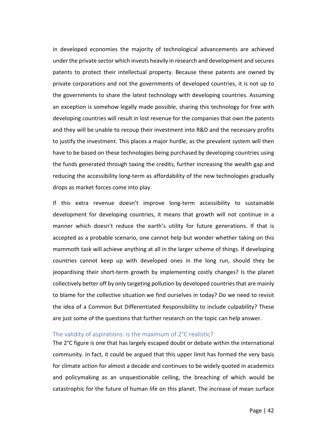in developed economies the majority of technological advancements are achieved under the private sector which invests heavily in research and development and secures patents to protect their intellectual property. Because these patents are owned by private corporations and not the governments of developed countries, it is not up to the governments to share the latest technology with developing countries. Assuming an exception is somehow legally made possible, sharing this technology for free with developing countries will result in lost revenue for the companies that own the patents and they will be unable to recoup their investment into R&D and the necessary profits to justify the investment. This places a major hurdle, as the prevalent system will then have to be based on these technologies being purchased by developing countries using the funds generated through taxing the credits, further increasing the wealth gap and reducing the accessibility long-term as affordability of the new technologies gradually drops as market forces come into play.

If this extra revenue doesn't improve long-term accessibility to sustainable development for developing countries, it means that growth will not continue in a manner which doesn't reduce the earth's utility for future generations. If that is accepted as a probable scenario, one cannot help but wonder whether taking on this mammoth task will achieve anything at all in the larger scheme of things. If developing countries cannot keep up with developed ones in the long run, should they be jeopardising their short-term growth by implementing costly changes? Is the planet collectively better off by only targeting pollution by developed countries that are mainly to blame for the collective situation we find ourselves in today? Do we need to revisit the idea of a Common But Differentiated Responsibility to include culpability? These are just some of the questions that further research on the topic can help answer.

## <span id="page-42-0"></span>The validity of aspirations: is the maximum of 2°C realistic?

The 2°C figure is one that has largely escaped doubt or debate within the international community. In fact, it could be argued that this upper limit has formed the very basis for climate action for almost a decade and continues to be widely quoted in academics and policymaking as an unquestionable ceiling, the breaching of which would be catastrophic for the future of human life on this planet. The increase of mean surface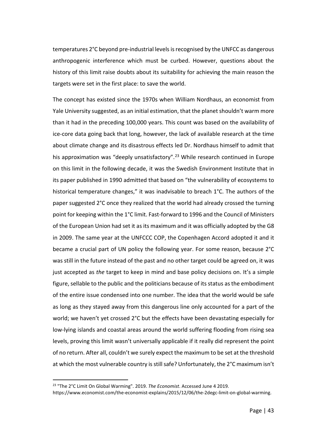temperatures 2°C beyond pre-industrial levels is recognised by the UNFCC as dangerous anthropogenic interference which must be curbed. However, questions about the history of this limit raise doubts about its suitability for achieving the main reason the targets were set in the first place: to save the world.

The concept has existed since the 1970s when William Nordhaus, an economist from Yale University suggested, as an initial estimation, that the planet shouldn't warm more than it had in the preceding 100,000 years. This count was based on the availability of ice-core data going back that long, however, the lack of available research at the time about climate change and its disastrous effects led Dr. Nordhaus himself to admit that his approximation was "deeply unsatisfactory".<sup>[23](#page-43-0)</sup> While research continued in Europe on this limit in the following decade, it was the Swedish Environment Institute that in its paper published in 1990 admitted that based on "the vulnerability of ecosystems to historical temperature changes," it was inadvisable to breach 1°C. The authors of the paper suggested 2°C once they realized that the world had already crossed the turning point for keeping within the 1°C limit. Fast-forward to 1996 and the Council of Ministers of the European Union had set it as its maximum and it was officially adopted by the G8 in 2009. The same year at the UNFCCC COP, the Copenhagen Accord adopted it and it became a crucial part of UN policy the following year. For some reason, because 2°C was still in the future instead of the past and no other target could be agreed on, it was just accepted as *the* target to keep in mind and base policy decisions on. It's a simple figure, sellable to the public and the politicians because of its status as the embodiment of the entire issue condensed into one number. The idea that the world would be safe as long as they stayed away from this dangerous line only accounted for a part of the world; we haven't yet crossed 2°C but the effects have been devastating especially for low-lying islands and coastal areas around the world suffering flooding from rising sea levels, proving this limit wasn't universally applicable if it really did represent the point of no return. After all, couldn't we surely expect the maximum to be set at the threshold at which the most vulnerable country is still safe? Unfortunately, the 2°C maximum isn't

<span id="page-43-0"></span> <sup>23</sup> "The 2°C Limit On Global Warming". 2019. *The Economist*. Accessed June 4 2019.

https://www.economist.com/the-economist-explains/2015/12/06/the-2degc-limit-on-global-warming.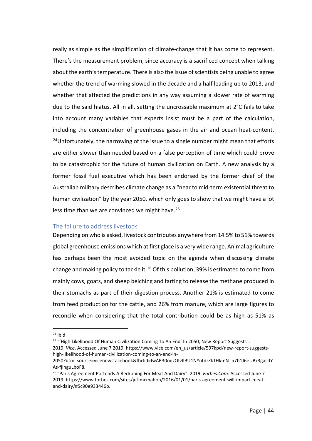really as simple as the simplification of climate-change that it has come to represent. There's the measurement problem, since accuracy is a sacrificed concept when talking about the earth's temperature. There is also the issue of scientists being unable to agree whether the trend of warming slowed in the decade and a half leading up to 2013, and whether that affected the predictions in any way assuming a slower rate of warming due to the said hiatus. All in all, setting the uncrossable maximum at 2°C fails to take into account many variables that experts insist must be a part of the calculation, including the concentration of greenhouse gases in the air and ocean heat-content.  $24$ Unfortunately, the narrowing of the issue to a single number might mean that efforts are either slower than needed based on a false perception of time which could prove to be catastrophic for the future of human civilization on Earth. A new analysis by a former fossil fuel executive which has been endorsed by the former chief of the Australian military describes climate change as a "near to mid-term existential threat to human civilization" by the year 2050, which only goes to show that we might have a lot less time than we are convinced we might have.<sup>[25](#page-44-2)</sup>

## <span id="page-44-0"></span>The failure to address livestock

Depending on who is asked, livestock contributes anywhere from 14.5% to 51% towards global greenhouse emissions which at first glace is a very wide range. Animal agriculture has perhaps been the most avoided topic on the agenda when discussing climate change and making policy to tackle it.<sup>[26](#page-44-3)</sup> Of this pollution, 39% is estimated to come from mainly cows, goats, and sheep belching and farting to release the methane produced in their stomachs as part of their digestion process. Another 21% is estimated to come from feed production for the cattle, and 26% from manure, which are large figures to reconcile when considering that the total contribution could be as high as 51% as

<span id="page-44-2"></span><sup>25</sup> "'High Likelihood Of Human Civilization Coming To An End' In 2050, New Report Suggests".

<span id="page-44-1"></span> $24$  Ibid

<sup>2019.</sup> *Vice*. Accessed June 7 2019. https://www.vice.com/en\_us/article/597kpd/new-report-suggestshigh-likelihood-of-human-civilization-coming-to-an-end-in-

<sup>2050?</sup>utm\_source=vicenewsfacebook&fbclid=IwAR30oqzOIvIIBU1NYntdrZkTHkmN\_p7b1J6eUBx3gacdY As-fjihguLboF8.

<span id="page-44-3"></span><sup>26</sup> "Paris Agreement Portends A Reckoning For Meat And Dairy". 2019. *Forbes.Com*. Accessed June 7 2019. https://www.forbes.com/sites/jeffmcmahon/2016/01/01/paris-agreement-will-impact-meatand-dairy/#5c90e933446b.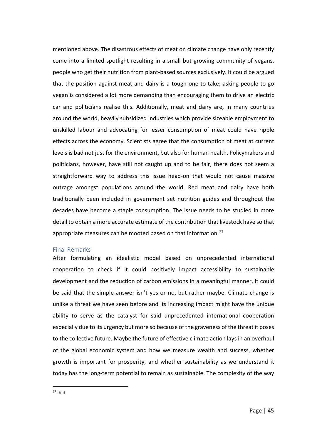mentioned above. The disastrous effects of meat on climate change have only recently come into a limited spotlight resulting in a small but growing community of vegans, people who get their nutrition from plant-based sources exclusively. It could be argued that the position against meat and dairy is a tough one to take; asking people to go vegan is considered a lot more demanding than encouraging them to drive an electric car and politicians realise this. Additionally, meat and dairy are, in many countries around the world, heavily subsidized industries which provide sizeable employment to unskilled labour and advocating for lesser consumption of meat could have ripple effects across the economy. Scientists agree that the consumption of meat at current levels is bad not just for the environment, but also for human health. Policymakers and politicians, however, have still not caught up and to be fair, there does not seem a straightforward way to address this issue head-on that would not cause massive outrage amongst populations around the world. Red meat and dairy have both traditionally been included in government set nutrition guides and throughout the decades have become a staple consumption. The issue needs to be studied in more detail to obtain a more accurate estimate of the contribution that livestock have so that appropriate measures can be mooted based on that information.<sup>[27](#page-45-1)</sup>

## <span id="page-45-0"></span>Final Remarks

<span id="page-45-1"></span>After formulating an idealistic model based on unprecedented international cooperation to check if it could positively impact accessibility to sustainable development and the reduction of carbon emissions in a meaningful manner, it could be said that the simple answer isn't yes or no, but rather maybe. Climate change is unlike a threat we have seen before and its increasing impact might have the unique ability to serve as the catalyst for said unprecedented international cooperation especially due to its urgency but more so because of the graveness of the threat it poses to the collective future. Maybe the future of effective climate action lays in an overhaul of the global economic system and how we measure wealth and success, whether growth is important for prosperity, and whether sustainability as we understand it today has the long-term potential to remain as sustainable. The complexity of the way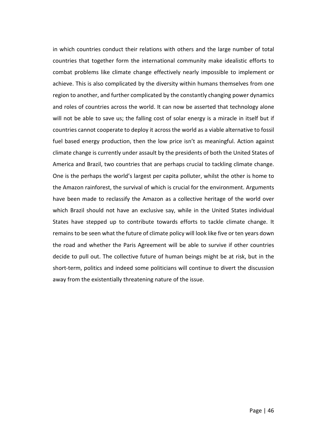in which countries conduct their relations with others and the large number of total countries that together form the international community make idealistic efforts to combat problems like climate change effectively nearly impossible to implement or achieve. This is also complicated by the diversity within humans themselves from one region to another, and further complicated by the constantly changing power dynamics and roles of countries across the world. It can now be asserted that technology alone will not be able to save us; the falling cost of solar energy is a miracle in itself but if countries cannot cooperate to deploy it across the world as a viable alternative to fossil fuel based energy production, then the low price isn't as meaningful. Action against climate change is currently under assault by the presidents of both the United States of America and Brazil, two countries that are perhaps crucial to tackling climate change. One is the perhaps the world's largest per capita polluter, whilst the other is home to the Amazon rainforest, the survival of which is crucial for the environment. Arguments have been made to reclassify the Amazon as a collective heritage of the world over which Brazil should not have an exclusive say, while in the United States individual States have stepped up to contribute towards efforts to tackle climate change. It remains to be seen what the future of climate policy will look like five or ten years down the road and whether the Paris Agreement will be able to survive if other countries decide to pull out. The collective future of human beings might be at risk, but in the short-term, politics and indeed some politicians will continue to divert the discussion away from the existentially threatening nature of the issue.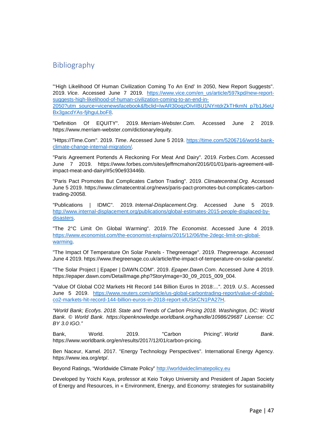## <span id="page-47-0"></span>Bibliography

"'High Likelihood Of Human Civilization Coming To An End' In 2050, New Report Suggests". 2019. *Vice*. Accessed June 7 2019. [https://www.vice.com/en\\_us/article/597kpd/new-report](https://www.vice.com/en_us/article/597kpd/new-report-suggests-high-likelihood-of-human-civilization-coming-to-an-end-in-2050?utm_source=vicenewsfacebook&fbclid=IwAR30oqzOIvIIBU1NYntdrZkTHkmN_p7b1J6eUBx3gacdYAs-fjihguLboF8)[suggests-high-likelihood-of-human-civilization-coming-to-an-end-in-](https://www.vice.com/en_us/article/597kpd/new-report-suggests-high-likelihood-of-human-civilization-coming-to-an-end-in-2050?utm_source=vicenewsfacebook&fbclid=IwAR30oqzOIvIIBU1NYntdrZkTHkmN_p7b1J6eUBx3gacdYAs-fjihguLboF8)[2050?utm\\_source=vicenewsfacebook&fbclid=IwAR30oqzOIvIIBU1NYntdrZkTHkmN\\_p7b1J6eU](https://www.vice.com/en_us/article/597kpd/new-report-suggests-high-likelihood-of-human-civilization-coming-to-an-end-in-2050?utm_source=vicenewsfacebook&fbclid=IwAR30oqzOIvIIBU1NYntdrZkTHkmN_p7b1J6eUBx3gacdYAs-fjihguLboF8) [Bx3gacdYAs-fjihguLboF8.](https://www.vice.com/en_us/article/597kpd/new-report-suggests-high-likelihood-of-human-civilization-coming-to-an-end-in-2050?utm_source=vicenewsfacebook&fbclid=IwAR30oqzOIvIIBU1NYntdrZkTHkmN_p7b1J6eUBx3gacdYAs-fjihguLboF8)

"Definition Of EQUITY". 2019. *Merriam-Webster.Com*. Accessed June 2 2019. https://www.merriam-webster.com/dictionary/equity.

"Https://Time.Com". 2019. *Time*. Accessed June 5 2019. [https://time.com/5206716/world-bank](https://time.com/5206716/world-bank-climate-change-internal-migration/)[climate-change-internal-migration/.](https://time.com/5206716/world-bank-climate-change-internal-migration/)

"Paris Agreement Portends A Reckoning For Meat And Dairy". 2019. *Forbes.Com*. Accessed June 7 2019. https://www.forbes.com/sites/jeffmcmahon/2016/01/01/paris-agreement-willimpact-meat-and-dairy/#5c90e933446b.

"Paris Pact Promotes But Complicates Carbon Trading". 2019. *Climatecentral.Org*. Accessed June 5 2019. https://www.climatecentral.org/news/paris-pact-promotes-but-complicates-carbontrading-20058.

"Publications | IDMC". 2019. *Internal-Displacement.Org*. Accessed June 5 2019. [http://www.internal-displacement.org/publications/global-estimates-2015-people-displaced-by](http://www.internal-displacement.org/publications/global-estimates-2015-people-displaced-by-disasters)[disasters.](http://www.internal-displacement.org/publications/global-estimates-2015-people-displaced-by-disasters)

"The 2°C Limit On Global Warming". 2019. *The Economist*. Accessed June 4 2019. [https://www.economist.com/the-economist-explains/2015/12/06/the-2degc-limit-on-global](https://www.economist.com/the-economist-explains/2015/12/06/the-2degc-limit-on-global-warming)[warming.](https://www.economist.com/the-economist-explains/2015/12/06/the-2degc-limit-on-global-warming)

"The Impact Of Temperature On Solar Panels - Thegreenage". 2019. *Thegreenage*. Accessed June 4 2019. https://www.thegreenage.co.uk/article/the-impact-of-temperature-on-solar-panels/.

"The Solar Project | Epaper | DAWN.COM". 2019. *Epaper.Dawn.Com*. Accessed June 4 2019. https://epaper.dawn.com/DetailImage.php?StoryImage=30\_09\_2015\_009\_004.

"Value Of Global CO2 Markets Hit Record 144 Billion Euros In 2018:...". 2019. *U.S.*. Accessed June 5 2019. [https://www.reuters.com/article/us-global-carbontrading-report/value-of-global](https://www.reuters.com/article/us-global-carbontrading-report/value-of-global-co2-markets-hit-record-144-billion-euros-in-2018-report-idUSKCN1PA27H)[co2-markets-hit-record-144-billion-euros-in-2018-report-idUSKCN1PA27H.](https://www.reuters.com/article/us-global-carbontrading-report/value-of-global-co2-markets-hit-record-144-billion-euros-in-2018-report-idUSKCN1PA27H)

*"World Bank; Ecofys. 2018. State and Trends of Carbon Pricing 2018. Washington, DC: World Bank. © World Bank. https://openknowledge.worldbank.org/handle/10986/29687 License: CC BY 3.0 IGO."*

Bank, World. 2019. "Carbon Pricing". *World Bank*. https://www.worldbank.org/en/results/2017/12/01/carbon-pricing.

Ben Naceur, Kamel. 2017. "Energy Technology Perspectives". International Energy Agency. https://www.iea.org/etp/.

Beyond Ratings, "Worldwide Climate Policy" [http://worldwideclimatepolicy.eu](http://worldwideclimatepolicy.eu/)

Developed by Yoichi Kaya, professor at Keio Tokyo University and President of Japan Society of Energy and Resources, in « Environment, Energy, and Economy: strategies for sustainability